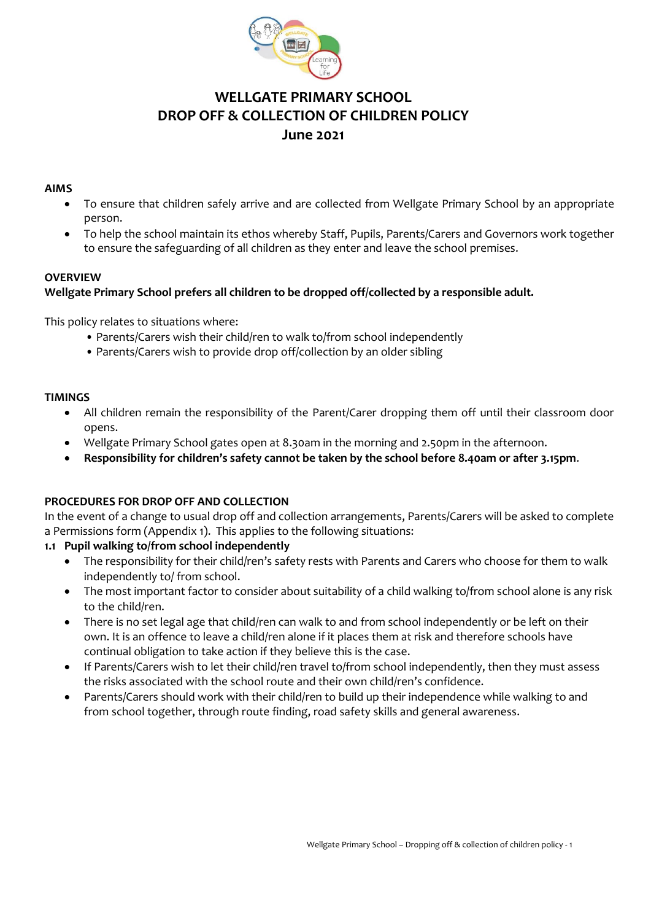

# **WELLGATE PRIMARY SCHOOL DROP OFF & COLLECTION OF CHILDREN POLICY June 2021**

#### **AIMS**

- To ensure that children safely arrive and are collected from Wellgate Primary School by an appropriate person.
- To help the school maintain its ethos whereby Staff, Pupils, Parents/Carers and Governors work together to ensure the safeguarding of all children as they enter and leave the school premises.

#### **OVERVIEW**

# **Wellgate Primary School prefers all children to be dropped off/collected by a responsible adult.**

This policy relates to situations where:

- Parents/Carers wish their child/ren to walk to/from school independently
- Parents/Carers wish to provide drop off/collection by an older sibling

## **TIMINGS**

- All children remain the responsibility of the Parent/Carer dropping them off until their classroom door opens.
- Wellgate Primary School gates open at 8.30am in the morning and 2.50pm in the afternoon.
- **Responsibility for children's safety cannot be taken by the school before 8.40am or after 3.15pm**.

## **PROCEDURES FOR DROP OFF AND COLLECTION**

In the event of a change to usual drop off and collection arrangements, Parents/Carers will be asked to complete a Permissions form (Appendix 1). This applies to the following situations:

## **1.1 Pupil walking to/from school independently**

- The responsibility for their child/ren's safety rests with Parents and Carers who choose for them to walk independently to/ from school.
- The most important factor to consider about suitability of a child walking to/from school alone is any risk to the child/ren.
- There is no set legal age that child/ren can walk to and from school independently or be left on their own. It is an offence to leave a child/ren alone if it places them at risk and therefore schools have continual obligation to take action if they believe this is the case.
- If Parents/Carers wish to let their child/ren travel to/from school independently, then they must assess the risks associated with the school route and their own child/ren's confidence.
- Parents/Carers should work with their child/ren to build up their independence while walking to and from school together, through route finding, road safety skills and general awareness.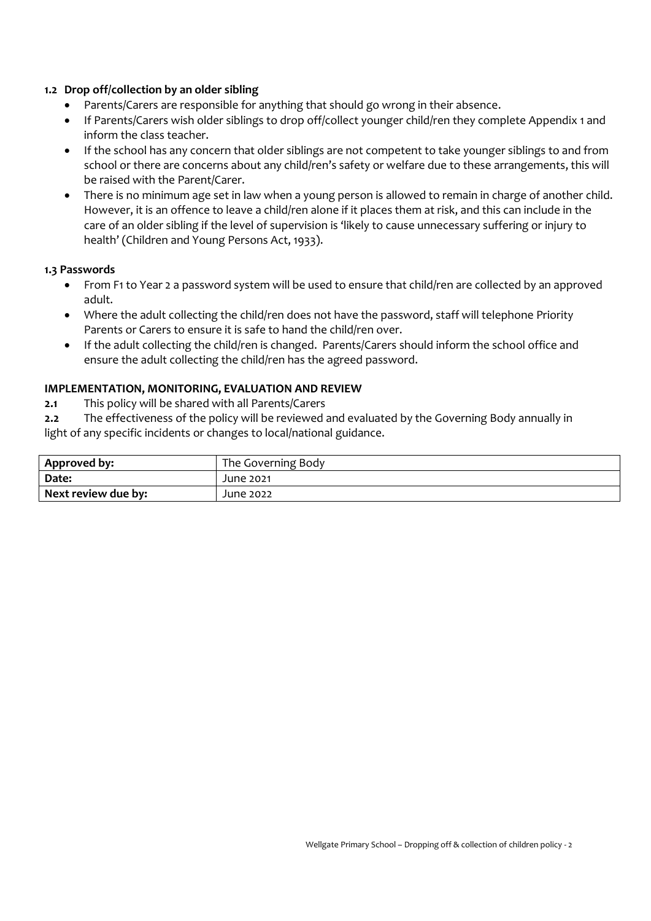#### **1.2 Drop off/collection by an older sibling**

- Parents/Carers are responsible for anything that should go wrong in their absence.
- If Parents/Carers wish older siblings to drop off/collect younger child/ren they complete Appendix 1 and inform the class teacher.
- If the school has any concern that older siblings are not competent to take younger siblings to and from school or there are concerns about any child/ren's safety or welfare due to these arrangements, this will be raised with the Parent/Carer.
- There is no minimum age set in law when a young person is allowed to remain in charge of another child. However, it is an offence to leave a child/ren alone if it places them at risk, and this can include in the care of an older sibling if the level of supervision is 'likely to cause unnecessary suffering or injury to health' (Children and Young Persons Act, 1933).

#### **1.3 Passwords**

- From F1 to Year 2 a password system will be used to ensure that child/ren are collected by an approved adult.
- Where the adult collecting the child/ren does not have the password, staff will telephone Priority Parents or Carers to ensure it is safe to hand the child/ren over.
- If the adult collecting the child/ren is changed. Parents/Carers should inform the school office and ensure the adult collecting the child/ren has the agreed password.

#### **IMPLEMENTATION, MONITORING, EVALUATION AND REVIEW**

**2.1** This policy will be shared with all Parents/Carers

**2.2** The effectiveness of the policy will be reviewed and evaluated by the Governing Body annually in light of any specific incidents or changes to local/national guidance.

| Approved by:        | The Governing Body |
|---------------------|--------------------|
| Date:               | June 2021          |
| Next review due by: | June 2022          |